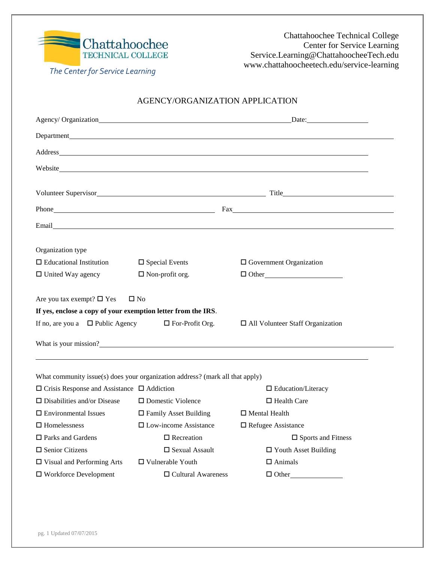

Chattahoochee Technical College Center for Service Learning Service.Learning@ChattahoocheeTech.edu www.chattahoocheetech.edu/service-learning

*The Center for Service Learning*

#### AGENCY/ORGANIZATION APPLICATION

| Agency/ Organization Date: Date:                                                    |                              |                                                                                                                                                                                                                                      |  |  |  |
|-------------------------------------------------------------------------------------|------------------------------|--------------------------------------------------------------------------------------------------------------------------------------------------------------------------------------------------------------------------------------|--|--|--|
|                                                                                     |                              |                                                                                                                                                                                                                                      |  |  |  |
|                                                                                     |                              |                                                                                                                                                                                                                                      |  |  |  |
|                                                                                     |                              |                                                                                                                                                                                                                                      |  |  |  |
|                                                                                     |                              |                                                                                                                                                                                                                                      |  |  |  |
|                                                                                     |                              |                                                                                                                                                                                                                                      |  |  |  |
|                                                                                     |                              |                                                                                                                                                                                                                                      |  |  |  |
|                                                                                     |                              | Email <b>Executive Contract Contract Contract Contract Contract Contract Contract Contract Contract Contract Contract Contract Contract Contract Contract Contract Contract Contract Contract Contract Contract Contract Contrac</b> |  |  |  |
| Organization type                                                                   |                              |                                                                                                                                                                                                                                      |  |  |  |
| $\Box$ Educational Institution                                                      | $\Box$ Special Events        | $\Box$ Government Organization                                                                                                                                                                                                       |  |  |  |
| $\Box$ United Way agency                                                            | $\Box$ Non-profit org.       | $\Box$ Other                                                                                                                                                                                                                         |  |  |  |
| Are you tax exempt? $\square$ Yes                                                   | $\square$ No                 |                                                                                                                                                                                                                                      |  |  |  |
| If yes, enclose a copy of your exemption letter from the IRS.                       |                              |                                                                                                                                                                                                                                      |  |  |  |
| If no, are you a $\Box$ Public Agency<br>$\Box$ For-Profit Org.                     |                              | $\Box$ All Volunteer Staff Organization                                                                                                                                                                                              |  |  |  |
|                                                                                     |                              | What is your mission?                                                                                                                                                                                                                |  |  |  |
| What community issue(s) does your organization address? (mark all that apply)       |                              |                                                                                                                                                                                                                                      |  |  |  |
| $\Box$ Crisis Response and Assistance $\Box$ Addiction<br>$\Box$ Education/Literacy |                              |                                                                                                                                                                                                                                      |  |  |  |
| $\square$ Disabilities and/or Disease                                               | $\square$ Domestic Violence  | $\Box$ Health Care                                                                                                                                                                                                                   |  |  |  |
| $\Box$ Environmental Issues                                                         | $\Box$ Family Asset Building | $\Box$ Mental Health                                                                                                                                                                                                                 |  |  |  |
| $\Box$ Homelessness                                                                 | $\Box$ Low-income Assistance | $\Box$ Refugee Assistance                                                                                                                                                                                                            |  |  |  |
| $\Box$ Parks and Gardens                                                            | $\Box$ Recreation            | $\square$ Sports and Fitness                                                                                                                                                                                                         |  |  |  |
| $\square$ Senior Citizens                                                           | $\square$ Sexual Assault     | $\Box$ Youth Asset Building                                                                                                                                                                                                          |  |  |  |
| $\Box$ Visual and Performing Arts                                                   | □ Vulnerable Youth           | $\Box$ Animals                                                                                                                                                                                                                       |  |  |  |
| $\square$ Workforce Development                                                     | $\Box$ Cultural Awareness    | $\Box$ Other                                                                                                                                                                                                                         |  |  |  |
|                                                                                     |                              |                                                                                                                                                                                                                                      |  |  |  |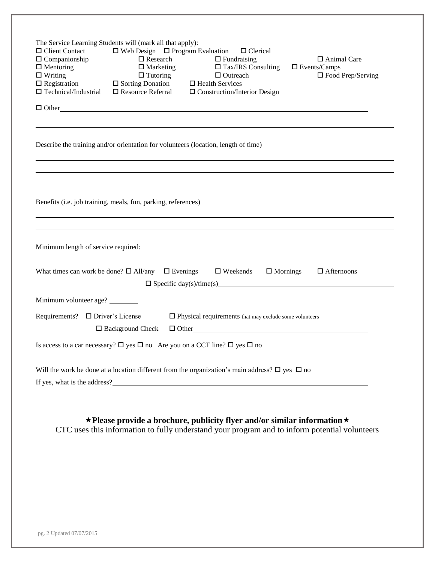| The Service Learning Students will (mark all that apply):<br>$\Box$ Web Design $\Box$ Program Evaluation<br>$\Box$ Client Contact<br>$\Box$ Clerical<br>$\Box$ Companionship<br>$\Box$ Research<br>$\Box$ Fundraising<br>□ Animal Care<br>$\Box$ Marketing<br>$\Box$ Tax/IRS Consulting<br>$\Box$ Mentoring<br>$\square$ Events/Camps<br>$\Box$ Writing<br>$\Box$ Outreach<br>$\square$ Food Prep/Serving<br>$\Box$ Tutoring<br>$\Box$ Tutoring<br>$\Box$ Sorting Donation<br>$\Box$ Resource Referral<br>$\Box$ Registration<br>$\Box$ Health Services<br>$\Box$ Technical/Industrial<br>$\Box$ Construction/Interior Design |  |  |  |  |  |
|-------------------------------------------------------------------------------------------------------------------------------------------------------------------------------------------------------------------------------------------------------------------------------------------------------------------------------------------------------------------------------------------------------------------------------------------------------------------------------------------------------------------------------------------------------------------------------------------------------------------------------|--|--|--|--|--|
|                                                                                                                                                                                                                                                                                                                                                                                                                                                                                                                                                                                                                               |  |  |  |  |  |
| Describe the training and/or orientation for volunteers (location, length of time)                                                                                                                                                                                                                                                                                                                                                                                                                                                                                                                                            |  |  |  |  |  |
| Benefits (i.e. job training, meals, fun, parking, references)                                                                                                                                                                                                                                                                                                                                                                                                                                                                                                                                                                 |  |  |  |  |  |
|                                                                                                                                                                                                                                                                                                                                                                                                                                                                                                                                                                                                                               |  |  |  |  |  |
| What times can work be done? $\Box$ All/any $\Box$ Evenings<br>$\Box$ Afternoons<br>$\Box$ Weekends $\Box$ Mornings<br>$\Box$ Specific day(s)/time(s)                                                                                                                                                                                                                                                                                                                                                                                                                                                                         |  |  |  |  |  |
| Minimum volunteer age?                                                                                                                                                                                                                                                                                                                                                                                                                                                                                                                                                                                                        |  |  |  |  |  |
| Requirements? $\Box$ Driver's License<br>$\Box$ Physical requirements that may exclude some volunteers<br>$\Box$ Other $\Box$<br>$\Box$ Background Check                                                                                                                                                                                                                                                                                                                                                                                                                                                                      |  |  |  |  |  |
| Is access to a car necessary? $\Box$ yes $\Box$ no Are you on a CCT line? $\Box$ yes $\Box$ no                                                                                                                                                                                                                                                                                                                                                                                                                                                                                                                                |  |  |  |  |  |
| Will the work be done at a location different from the organization's main address? $\square$ yes $\square$ no<br>If yes, what is the address?<br><u>If</u> yes, what is the address?                                                                                                                                                                                                                                                                                                                                                                                                                                         |  |  |  |  |  |
| $\star$ Please provide a brochure, publicity flyer and/or similar information $\star$<br>CTC uses this information to fully understand your program and to inform potential volunteers                                                                                                                                                                                                                                                                                                                                                                                                                                        |  |  |  |  |  |
|                                                                                                                                                                                                                                                                                                                                                                                                                                                                                                                                                                                                                               |  |  |  |  |  |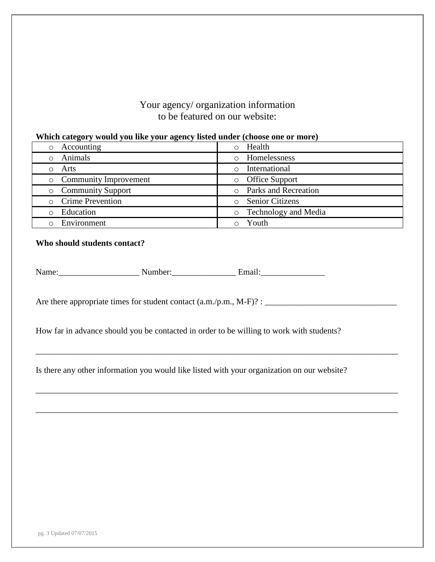### Your agency/ organization information to be featured on our website:

#### **Which category would you like your agency listed under (choose one or more)**

| $\overline{\phantom{a}}$<br>- |                                        |
|-------------------------------|----------------------------------------|
| Accounting<br>$\circ$         | Health<br>$\circ$                      |
| Animals                       | Homelessness                           |
| Arts                          | International<br>$\bigcirc$            |
| <b>Community Improvement</b>  | <b>Office Support</b><br>$\circ$       |
| <b>Community Support</b>      | o Parks and Recreation                 |
| o Crime Prevention            | <b>Senior Citizens</b><br>$\circ$      |
| Education                     | <b>Technology and Media</b><br>$\circ$ |
| Environment                   | Youth                                  |

#### **Who should students contact?**

|  | Name: | .mber <sup>.</sup> | . 1 |
|--|-------|--------------------|-----|
|--|-------|--------------------|-----|

Are there appropriate times for student contact (a.m./p.m., M-F)? : \_\_\_\_\_\_\_\_\_\_\_\_\_\_\_\_\_\_\_\_\_\_\_\_\_\_\_\_\_\_\_

How far in advance should you be contacted in order to be willing to work with students?

Is there any other information you would like listed with your organization on our website?

\_\_\_\_\_\_\_\_\_\_\_\_\_\_\_\_\_\_\_\_\_\_\_\_\_\_\_\_\_\_\_\_\_\_\_\_\_\_\_\_\_\_\_\_\_\_\_\_\_\_\_\_\_\_\_\_\_\_\_\_\_\_\_\_\_\_\_\_\_\_\_\_\_\_\_\_\_\_\_\_\_\_\_\_\_

\_\_\_\_\_\_\_\_\_\_\_\_\_\_\_\_\_\_\_\_\_\_\_\_\_\_\_\_\_\_\_\_\_\_\_\_\_\_\_\_\_\_\_\_\_\_\_\_\_\_\_\_\_\_\_\_\_\_\_\_\_\_\_\_\_\_\_\_\_\_\_\_\_\_\_\_\_\_\_\_\_\_\_\_\_

\_\_\_\_\_\_\_\_\_\_\_\_\_\_\_\_\_\_\_\_\_\_\_\_\_\_\_\_\_\_\_\_\_\_\_\_\_\_\_\_\_\_\_\_\_\_\_\_\_\_\_\_\_\_\_\_\_\_\_\_\_\_\_\_\_\_\_\_\_\_\_\_\_\_\_\_\_\_\_\_\_\_\_\_\_